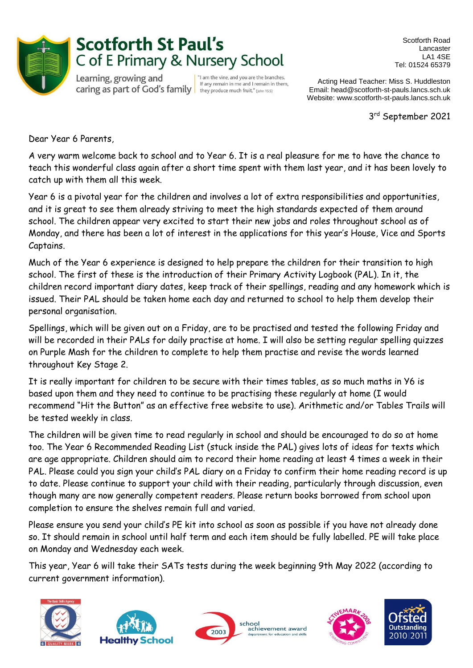

## **Scotforth St Paul's** C of E Primary & Nursery School

Learning, growing and caring as part of God's family  $\left| \right|$  they produce much fruit." (phm 15.5)

"I am the vine, and you are the branches. If any remain in me and I remain in them,

Scotforth Road Lancaster LA1 4SE Tel: 01524 65379

Acting Head Teacher: Miss S. Huddleston Email: head@scotforth-st-pauls.lancs.sch.uk Website: www.scotforth-st-pauls.lancs.sch.uk

 3 3rd September 2021

Dear Year 6 Parents,

A very warm welcome back to school and to Year 6. It is a real pleasure for me to have the chance to teach this wonderful class again after a short time spent with them last year, and it has been lovely to catch up with them all this week.

Year 6 is a pivotal year for the children and involves a lot of extra responsibilities and opportunities, and it is great to see them already striving to meet the high standards expected of them around school. The children appear very excited to start their new jobs and roles throughout school as of Monday, and there has been a lot of interest in the applications for this year's House, Vice and Sports Captains.

Much of the Year 6 experience is designed to help prepare the children for their transition to high school. The first of these is the introduction of their Primary Activity Logbook (PAL). In it, the children record important diary dates, keep track of their spellings, reading and any homework which is issued. Their PAL should be taken home each day and returned to school to help them develop their personal organisation.

Spellings, which will be given out on a Friday, are to be practised and tested the following Friday and will be recorded in their PALs for daily practise at home. I will also be setting regular spelling quizzes on Purple Mash for the children to complete to help them practise and revise the words learned throughout Key Stage 2.

It is really important for children to be secure with their times tables, as so much maths in Y6 is based upon them and they need to continue to be practising these regularly at home (I would recommend "Hit the Button" as an effective free website to use). Arithmetic and/or Tables Trails will be tested weekly in class.

The children will be given time to read regularly in school and should be encouraged to do so at home too. The Year 6 Recommended Reading List (stuck inside the PAL) gives lots of ideas for texts which are age appropriate. Children should aim to record their home reading at least 4 times a week in their PAL. Please could you sign your child's PAL diary on a Friday to confirm their home reading record is up to date. Please continue to support your child with their reading, particularly through discussion, even though many are now generally competent readers. Please return books borrowed from school upon completion to ensure the shelves remain full and varied.

Please ensure you send your child's PE kit into school as soon as possible if you have not already done so. It should remain in school until half term and each item should be fully labelled. PE will take place on Monday and Wednesday each week.

This year, Year 6 will take their SATs tests during the week beginning 9th May 2022 (according to current government information).